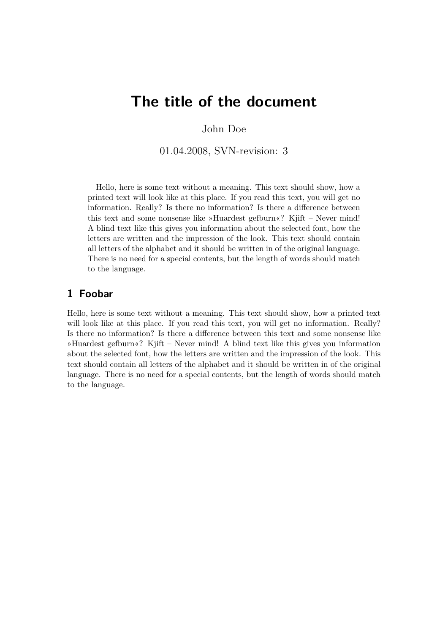## **The title of the document**

John Doe

01.04.2008, SVN-revision: 3

Hello, here is some text without a meaning. This text should show, how a printed text will look like at this place. If you read this text, you will get no information. Really? Is there no information? Is there a difference between this text and some nonsense like »Huardest gefburn«? Kjift – Never mind! A blind text like this gives you information about the selected font, how the letters are written and the impression of the look. This text should contain all letters of the alphabet and it should be written in of the original language. There is no need for a special contents, but the length of words should match to the language.

## **1 Foobar**

Hello, here is some text without a meaning. This text should show, how a printed text will look like at this place. If you read this text, you will get no information. Really? Is there no information? Is there a difference between this text and some nonsense like »Huardest gefburn«? Kjift – Never mind! A blind text like this gives you information about the selected font, how the letters are written and the impression of the look. This text should contain all letters of the alphabet and it should be written in of the original language. There is no need for a special contents, but the length of words should match to the language.